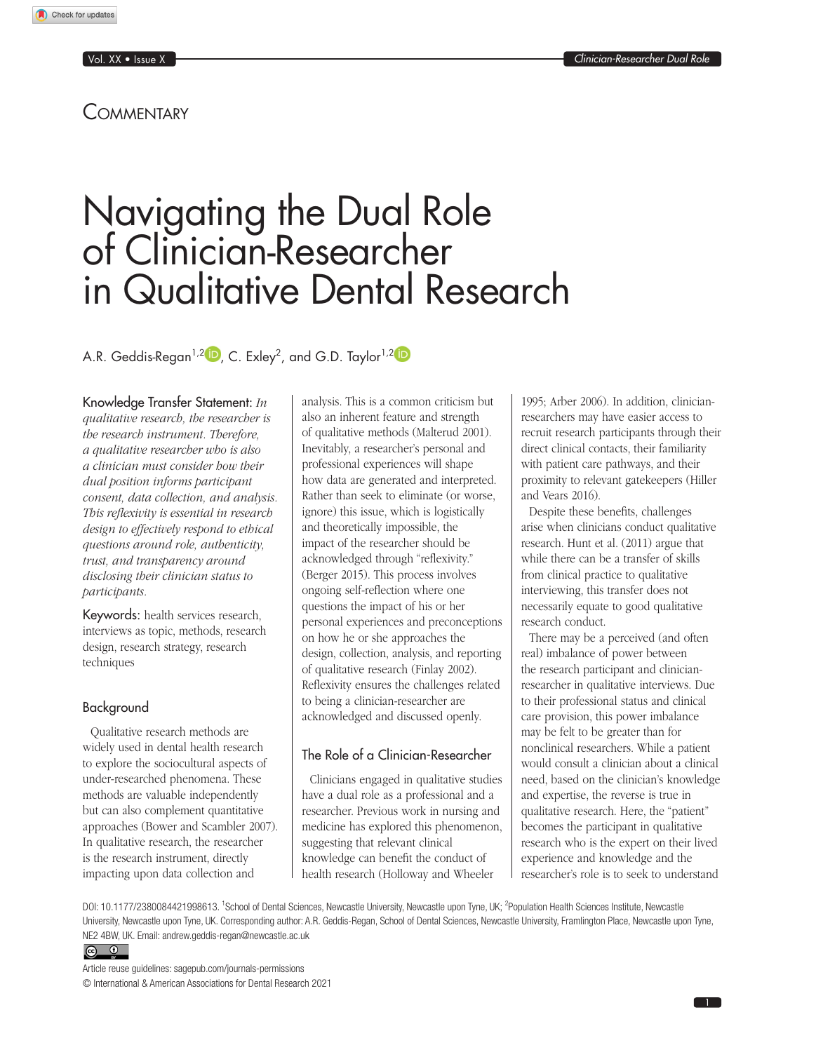Check for updates

Vol. XX • Issue X *Clinician-Researcher Dual Role*

## **COMMENTARY**

# Navigating the Dual Role of Clinician-Researcher in Qualitative Dental Research

A.R. Geddis-Regan $^{1,2}$   $\blacksquare$  , C. Exley $^2$ , and G.D. Taylor $^{1,2}$ 

### Knowledge Transfer Statement: *In*

*qualitative research, the researcher is the research instrument. Therefore, a qualitative researcher who is also a clinician must consider how their dual position informs participant consent, data collection, and analysis. This reflexivity is essential in research design to effectively respond to ethical questions around role, authenticity, trust, and transparency around disclosing their clinician status to participants.*

Keywords: health services research, interviews as topic, methods, research design, research strategy, research techniques

### Background

Qualitative research methods are widely used in dental health research to explore the sociocultural aspects of under-researched phenomena. These methods are valuable independently but can also complement quantitative approaches (Bower and Scambler 2007). In qualitative research, the researcher is the research instrument, directly impacting upon data collection and

analysis. This is a common criticism but also an inherent feature and strength of qualitative methods (Malterud 2001). Inevitably, a researcher's personal and professional experiences will shape how data are generated and interpreted. Rather than seek to eliminate (or worse, ignore) this issue, which is logistically and theoretically impossible, the impact of the researcher should be acknowledged through "reflexivity." (Berger 2015). This process involves ongoing self-reflection where one questions the impact of his or her personal experiences and preconceptions on how he or she approaches the design, collection, analysis, and reporting of qualitative research (Finlay 2002). Reflexivity ensures the challenges related to being a clinician-researcher are acknowledged and discussed openly.

## The Role of a Clinician-Researcher

Clinicians engaged in qualitative studies have a dual role as a professional and a researcher. Previous work in nursing and medicine has explored this phenomenon, suggesting that relevant clinical knowledge can benefit the conduct of health research (Holloway and Wheeler

1995; Arber 2006). In addition, clinicianresearchers may have easier access to recruit research participants through their direct clinical contacts, their familiarity with patient care pathways, and their proximity to relevant gatekeepers (Hiller and Vears 2016).

Despite these benefits, challenges arise when clinicians conduct qualitative research. Hunt et al. (2011) argue that while there can be a transfer of skills from clinical practice to qualitative interviewing, this transfer does not necessarily equate to good qualitative research conduct.

There may be a perceived (and often real) imbalance of power between the research participant and clinicianresearcher in qualitative interviews. Due to their professional status and clinical care provision, this power imbalance may be felt to be greater than for nonclinical researchers. While a patient would consult a clinician about a clinical need, based on the clinician's knowledge and expertise, the reverse is true in qualitative research. Here, the "patient" becomes the participant in qualitative research who is the expert on their lived experience and knowledge and the researcher's role is to seek to understand

DOI: 10.1177/2380084421998613. <sup>1</sup>School of Dental Sciences, Newcastle University, Newcastle upon Tyne, UK; <sup>2</sup>Population Health Sciences Institute, Newcastle University, Newcastle upon Tyne, UK. Corresponding author: A.R. Geddis-Regan, School of Dental Sciences, Newcastle University, Framlington Place, Newcastle upon Tyne, NE2 4BW, UK. Email: a[ndrew.geddis-regan@newcastle.ac.uk](mailto:Andrew.geddis-regan@newcastle.ac.uk)



Article reuse guidelines: [sagepub.com/journals-permissions](https://us.sagepub.com/en-us/journals-permissions) © International & American Associations for Dental Research 2021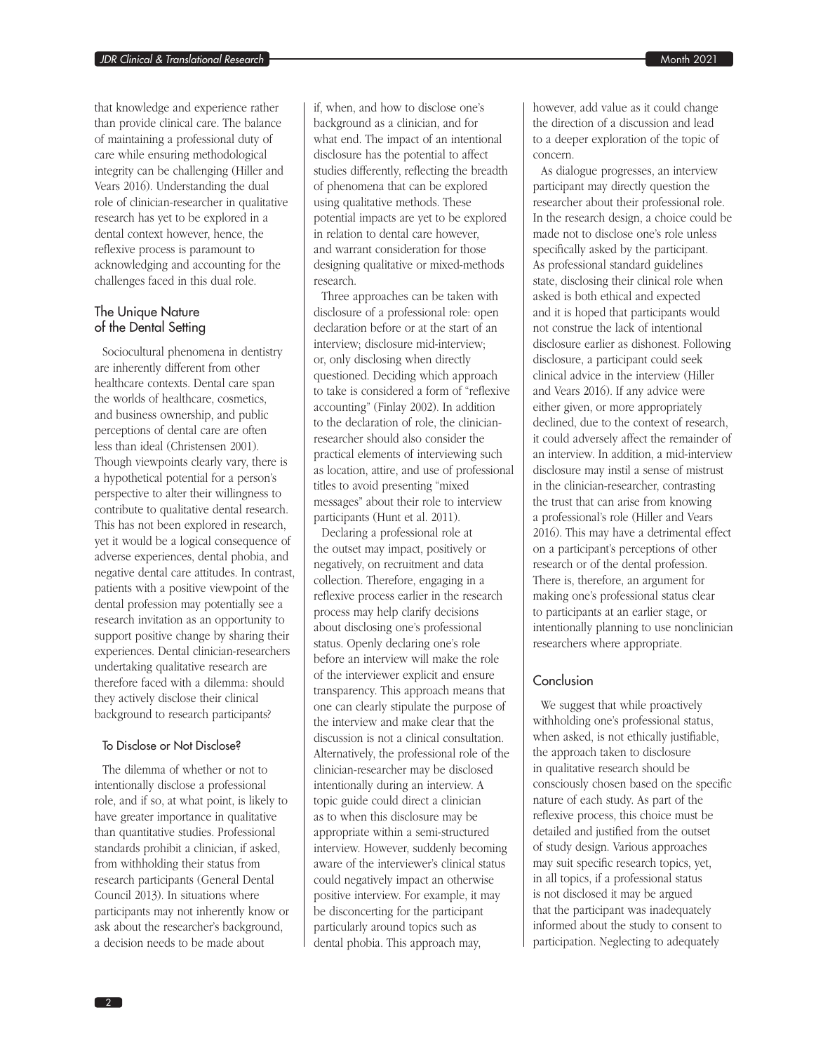that knowledge and experience rather than provide clinical care. The balance of maintaining a professional duty of care while ensuring methodological integrity can be challenging (Hiller and Vears 2016). Understanding the dual role of clinician-researcher in qualitative research has yet to be explored in a dental context however, hence, the reflexive process is paramount to acknowledging and accounting for the challenges faced in this dual role.

## The Unique Nature of the Dental Setting

Sociocultural phenomena in dentistry are inherently different from other healthcare contexts. Dental care span the worlds of healthcare, cosmetics, and business ownership, and public perceptions of dental care are often less than ideal (Christensen 2001). Though viewpoints clearly vary, there is a hypothetical potential for a person's perspective to alter their willingness to contribute to qualitative dental research. This has not been explored in research, yet it would be a logical consequence of adverse experiences, dental phobia, and negative dental care attitudes. In contrast, patients with a positive viewpoint of the dental profession may potentially see a research invitation as an opportunity to support positive change by sharing their experiences. Dental clinician-researchers undertaking qualitative research are therefore faced with a dilemma: should they actively disclose their clinical background to research participants?

#### To Disclose or Not Disclose?

The dilemma of whether or not to intentionally disclose a professional role, and if so, at what point, is likely to have greater importance in qualitative than quantitative studies. Professional standards prohibit a clinician, if asked, from withholding their status from research participants (General Dental Council 2013). In situations where participants may not inherently know or ask about the researcher's background, a decision needs to be made about

if, when, and how to disclose one's background as a clinician, and for what end. The impact of an intentional disclosure has the potential to affect studies differently, reflecting the breadth of phenomena that can be explored using qualitative methods. These potential impacts are yet to be explored in relation to dental care however, and warrant consideration for those designing qualitative or mixed-methods research.

Three approaches can be taken with disclosure of a professional role: open declaration before or at the start of an interview; disclosure mid-interview; or, only disclosing when directly questioned. Deciding which approach to take is considered a form of "reflexive accounting" (Finlay 2002). In addition to the declaration of role, the clinicianresearcher should also consider the practical elements of interviewing such as location, attire, and use of professional titles to avoid presenting "mixed messages" about their role to interview participants (Hunt et al. 2011).

Declaring a professional role at the outset may impact, positively or negatively, on recruitment and data collection. Therefore, engaging in a reflexive process earlier in the research process may help clarify decisions about disclosing one's professional status. Openly declaring one's role before an interview will make the role of the interviewer explicit and ensure transparency. This approach means that one can clearly stipulate the purpose of the interview and make clear that the discussion is not a clinical consultation. Alternatively, the professional role of the clinician-researcher may be disclosed intentionally during an interview. A topic guide could direct a clinician as to when this disclosure may be appropriate within a semi-structured interview. However, suddenly becoming aware of the interviewer's clinical status could negatively impact an otherwise positive interview. For example, it may be disconcerting for the participant particularly around topics such as dental phobia. This approach may,

however, add value as it could change the direction of a discussion and lead to a deeper exploration of the topic of concern.

As dialogue progresses, an interview participant may directly question the researcher about their professional role. In the research design, a choice could be made not to disclose one's role unless specifically asked by the participant. As professional standard guidelines state, disclosing their clinical role when asked is both ethical and expected and it is hoped that participants would not construe the lack of intentional disclosure earlier as dishonest. Following disclosure, a participant could seek clinical advice in the interview (Hiller and Vears 2016). If any advice were either given, or more appropriately declined, due to the context of research, it could adversely affect the remainder of an interview. In addition, a mid-interview disclosure may instil a sense of mistrust in the clinician-researcher, contrasting the trust that can arise from knowing a professional's role (Hiller and Vears 2016). This may have a detrimental effect on a participant's perceptions of other research or of the dental profession. There is, therefore, an argument for making one's professional status clear to participants at an earlier stage, or intentionally planning to use nonclinician researchers where appropriate.

## Conclusion

We suggest that while proactively withholding one's professional status, when asked, is not ethically justifiable, the approach taken to disclosure in qualitative research should be consciously chosen based on the specific nature of each study. As part of the reflexive process, this choice must be detailed and justified from the outset of study design. Various approaches may suit specific research topics, yet, in all topics, if a professional status is not disclosed it may be argued that the participant was inadequately informed about the study to consent to participation. Neglecting to adequately